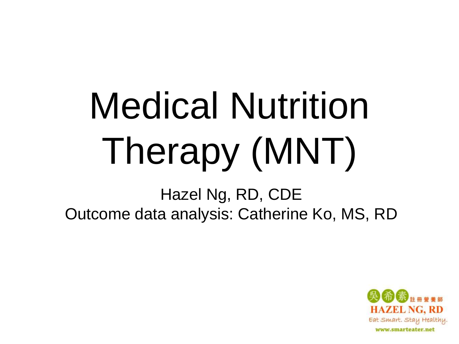## Medical Nutrition Therapy (MNT)

Hazel Ng, RD, CDE Outcome data analysis: Catherine Ko, MS, RD

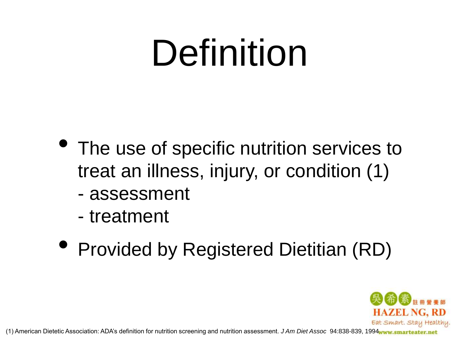#### Definition

- The use of specific nutrition services to treat an illness, injury, or condition (1)
	- assessment
	- treatment
- Provided by Registered Dietitian (RD)



(1) American Dietetic Association: ADA's definition for nutrition screening and nutrition assessment. *J Am Diet Assoc* 94:838-839, 1994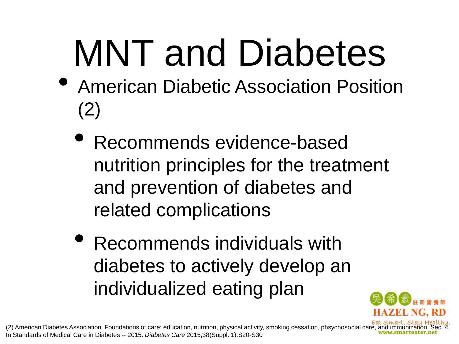### MNT and Diabetes

- American Diabetic Association Position (2)
	- Recommends evidence-based nutrition principles for the treatment and prevention of diabetes and related complications
	- Recommends individuals with diabetes to actively develop an individualized eating plan



(2) American Diabetes Association. Foundations of care: education, nutrition, physical activity, smoking cessation, phsychosocial care, and immunization. In Standards of Medical Care in Diabetes -- 2015. *Diabetes Care* 2015;38(Suppl. 1):S20-S30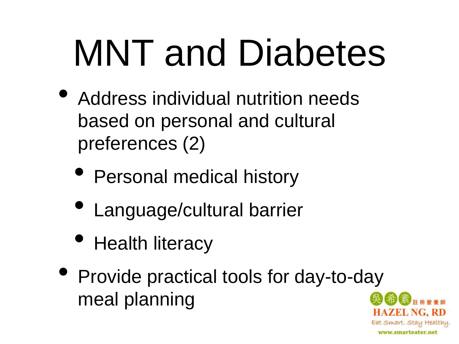### MNT and Diabetes

- Address individual nutrition needs based on personal and cultural preferences (2)
	- Personal medical history
	- Language/cultural barrier
	- Health literacy
- Provide practical tools for day-to-day meal planning

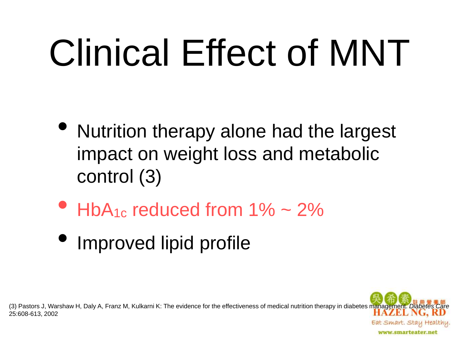### Clinical Effect of MNT

- Nutrition therapy alone had the largest impact on weight loss and metabolic control (3)
- $HbA_{1c}$  reduced from  $1\% \sim 2\%$
- Improved lipid profile

(3) Pastors J, Warshaw H, Daly A, Franz M, Kulkarni K: The evidence for the effectiveness of medical nutrition therapy in diabetes management. Diabetes 25:608-613, 2002

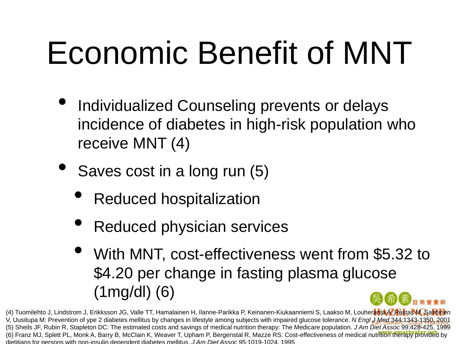#### Economic Benefit of MNT

- Individualized Counseling prevents or delays incidence of diabetes in high-risk population who receive MNT (4)
- Saves cost in a long run (5)
	- Reduced hospitalization
	- Reduced physician services
	- With MNT, cost-effectiveness went from \$5.32 to \$4.20 per change in fasting plasma glucose (1mg/dl) (6)

(4) Tuomilehto J, Lindstrom J, Erikksson JG, Valle TT, Hamalainen H, Ilanne-Parikka P, Keinanen-Kiukaanniemi S, Laakso M, Louheranta A, Rastas M, Salminen V, Uusitupa M: Prevention of ype 2 diabetes mellitus by changes in lifestyle among subjects with impaired glucose tolerance. *N Engl J Med* 344:1343-1350, 2001 (5) Sheils JF, Rubin R, Stapleton DC: The estimated costs and savings of medical nutrition therapy: The Medicare population. *J Am Diet Assoc* 99:428-425, 1999 (6) Franz MJ, Splett PL, Monk A, Barry B, McClain K, Weaver T, Upham P, Bergenstal R, Mazze RS: Cost-effectiveness of medical nutrition therapy provided by dietitians for persons with non-insulin dependent diabetes mellitus. *J Am Diet Assoc* 95:1019-1024, 1995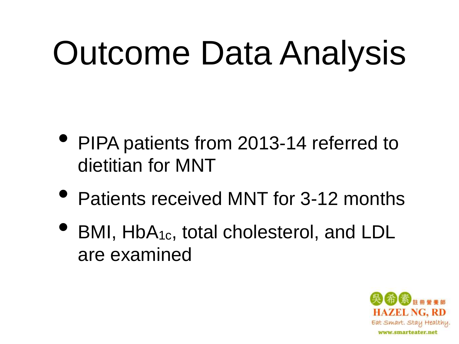#### Outcome Data Analysis

- PIPA patients from 2013-14 referred to dietitian for MNT
- Patients received MNT for 3-12 months
- BMI, HbA1c, total cholesterol, and LDL are examined

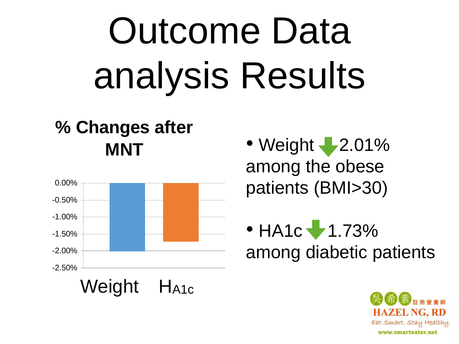## Outcome Data analysis Results

#### **% Changes after MNT**



• Weight  $-2.01\%$ among the obese patients (BMI>30)

 $\bullet$  HA1c  $\bullet$  1.73% among diabetic patients

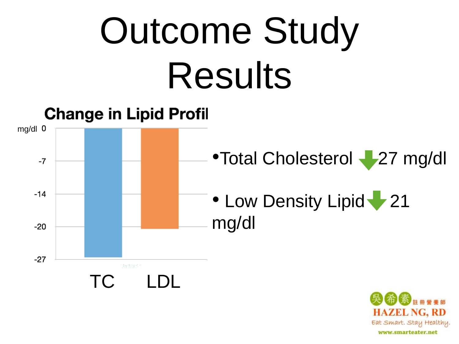### Outcome Study Results



**HAZEL NG, RD** Eat Smart. Stay Healthy. www.smarteater.net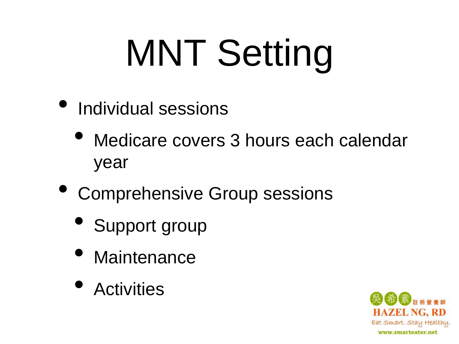## MNT Setting

- Individual sessions
	- Medicare covers 3 hours each calendar year
- Comprehensive Group sessions
	- Support group
	- Maintenance
	- Activities

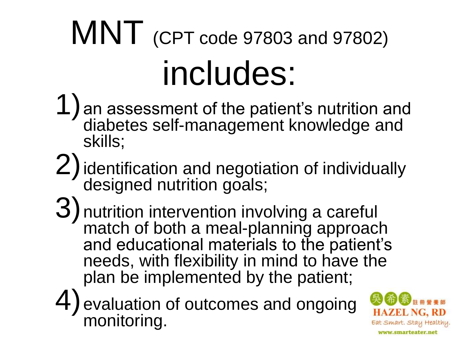#### MNT (CPT code 97803 and 97802) includes:

- 1)an assessment of the patient's nutrition and diabetes self-management knowledge and skills;
- 2) identification and negotiation of individually designed nutrition goals;
- 3)nutrition intervention involving a careful match of both a meal-planning approach and educational materials to the patient's needs, with flexibility in mind to have the plan be implemented by the patient;
- 4)evaluation of outcomes and ongoing monitoring.

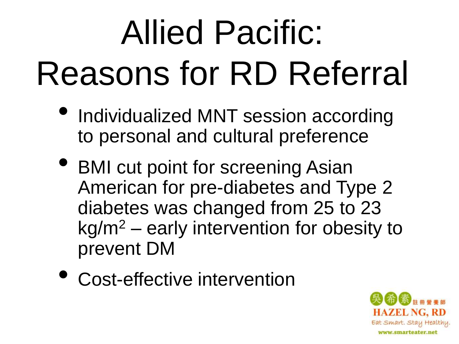#### Allied Pacific: Reasons for RD Referral

- Individualized MNT session according to personal and cultural preference
- BMI cut point for screening Asian American for pre-diabetes and Type 2 diabetes was changed from 25 to 23 kg/m<sup>2</sup> – early intervention for obesity to prevent DM
- Cost-effective intervention

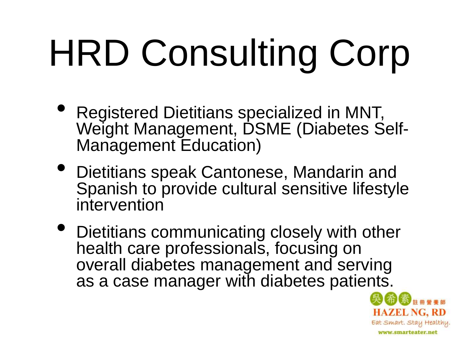# HRD Consulting Corp

- Registered Dietitians specialized in MNT, Weight Management, DSME (Diabetes Self-Management Education)
- Dietitians speak Cantonese, Mandarin and Spanish to provide cultural sensitive lifestyle intervention
- Dietitians communicating closely with other health care professionals, focusing on overall diabetes management and serving as a case manager with diabetes patients.

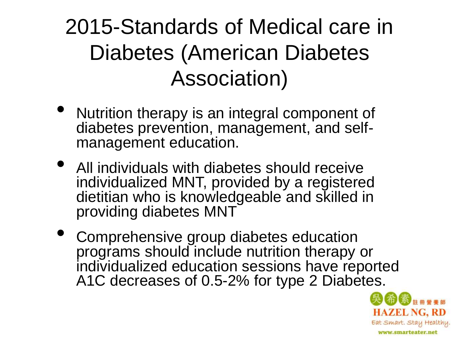#### 2015-Standards of Medical care in Diabetes (American Diabetes Association)

- Nutrition therapy is an integral component of diabetes prevention, management, and selfmanagement education.
- All individuals with diabetes should receive individualized MNT, provided by a registered dietitian who is knowledgeable and skilled in providing diabetes MNT
- Comprehensive group diabetes education programs should include nutrition therapy or individualized education sessions have reported A1C decreases of 0.5-2% for type 2 Diabetes.

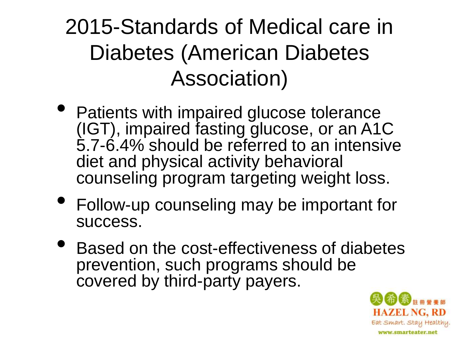#### 2015-Standards of Medical care in Diabetes (American Diabetes Association)

- Patients with impaired glucose tolerance (IGT), impaired fasting glucose, or an A1C 5.7-6.4% should be referred to an intensive diet and physical activity behavioral counseling program targeting weight loss.
- Follow-up counseling may be important for success.
- Based on the cost-effectiveness of diabetes prevention, such programs should be covered by third-party payers.

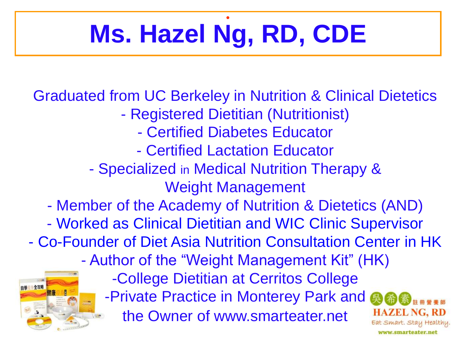#### • **Ms. Hazel Ng, RD, CDE**

Graduated from UC Berkeley in Nutrition & Clinical Dietetics

- Registered Dietitian (Nutritionist)
	- Certified Diabetes Educator
	- Certified Lactation Educator
- Specialized in Medical Nutrition Therapy & Weight Management
- Member of the Academy of Nutrition & Dietetics (AND)
- Worked as Clinical Dietitian and WIC Clinic Supervisor

- Co-Founder of Diet Asia Nutrition Consultation Center in HK





-College Dietitian at Cerritos College -Private Practice in Monterey Park and 奥 **HAZEL NG. RD** the Owner of www.smarteater.net Eat Smart. Stay Healthy.

www.smarteater.net